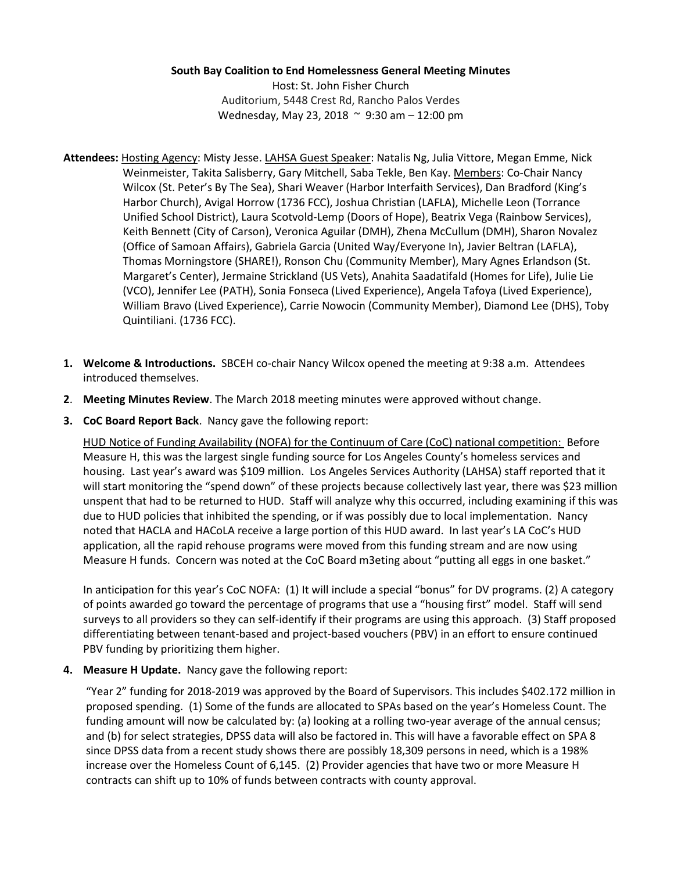## **South Bay Coalition to End Homelessness General Meeting Minutes**

Host: St. John Fisher Church Auditorium, 5448 Crest Rd, Rancho Palos Verdes Wednesday, May 23, 2018 ~ 9:30 am – 12:00 pm

- **Attendees:** Hosting Agency: Misty Jesse. LAHSA Guest Speaker: Natalis Ng, Julia Vittore, Megan Emme, Nick Weinmeister, Takita Salisberry, Gary Mitchell, Saba Tekle, Ben Kay. Members: Co-Chair Nancy Wilcox (St. Peter's By The Sea), Shari Weaver (Harbor Interfaith Services), Dan Bradford (King's Harbor Church), Avigal Horrow (1736 FCC), Joshua Christian (LAFLA), Michelle Leon (Torrance Unified School District), Laura Scotvold-Lemp (Doors of Hope), Beatrix Vega (Rainbow Services), Keith Bennett (City of Carson), Veronica Aguilar (DMH), Zhena McCullum (DMH), Sharon Novalez (Office of Samoan Affairs), Gabriela Garcia (United Way/Everyone In), Javier Beltran (LAFLA), Thomas Morningstore (SHARE!), Ronson Chu (Community Member), Mary Agnes Erlandson (St. Margaret's Center), Jermaine Strickland (US Vets), Anahita Saadatifald (Homes for Life), Julie Lie (VCO), Jennifer Lee (PATH), Sonia Fonseca (Lived Experience), Angela Tafoya (Lived Experience), William Bravo (Lived Experience), Carrie Nowocin (Community Member), Diamond Lee (DHS), Toby Quintiliani. (1736 FCC).
- **1. Welcome & Introductions.** SBCEH co-chair Nancy Wilcox opened the meeting at 9:38 a.m. Attendees introduced themselves.
- **2**. **Meeting Minutes Review**. The March 2018 meeting minutes were approved without change.
- **3. CoC Board Report Back**. Nancy gave the following report:

HUD Notice of Funding Availability (NOFA) for the Continuum of Care (CoC) national competition: Before Measure H, this was the largest single funding source for Los Angeles County's homeless services and housing. Last year's award was \$109 million. Los Angeles Services Authority (LAHSA) staff reported that it will start monitoring the "spend down" of these projects because collectively last year, there was \$23 million unspent that had to be returned to HUD. Staff will analyze why this occurred, including examining if this was due to HUD policies that inhibited the spending, or if was possibly due to local implementation. Nancy noted that HACLA and HACoLA receive a large portion of this HUD award. In last year's LA CoC's HUD application, all the rapid rehouse programs were moved from this funding stream and are now using Measure H funds. Concern was noted at the CoC Board m3eting about "putting all eggs in one basket."

In anticipation for this year's CoC NOFA: (1) It will include a special "bonus" for DV programs. (2) A category of points awarded go toward the percentage of programs that use a "housing first" model. Staff will send surveys to all providers so they can self-identify if their programs are using this approach. (3) Staff proposed differentiating between tenant-based and project-based vouchers (PBV) in an effort to ensure continued PBV funding by prioritizing them higher.

**4. Measure H Update.** Nancy gave the following report:

"Year 2" funding for 2018-2019 was approved by the Board of Supervisors. This includes \$402.172 million in proposed spending. (1) Some of the funds are allocated to SPAs based on the year's Homeless Count. The funding amount will now be calculated by: (a) looking at a rolling two-year average of the annual census; and (b) for select strategies, DPSS data will also be factored in. This will have a favorable effect on SPA 8 since DPSS data from a recent study shows there are possibly 18,309 persons in need, which is a 198% increase over the Homeless Count of 6,145. (2) Provider agencies that have two or more Measure H contracts can shift up to 10% of funds between contracts with county approval.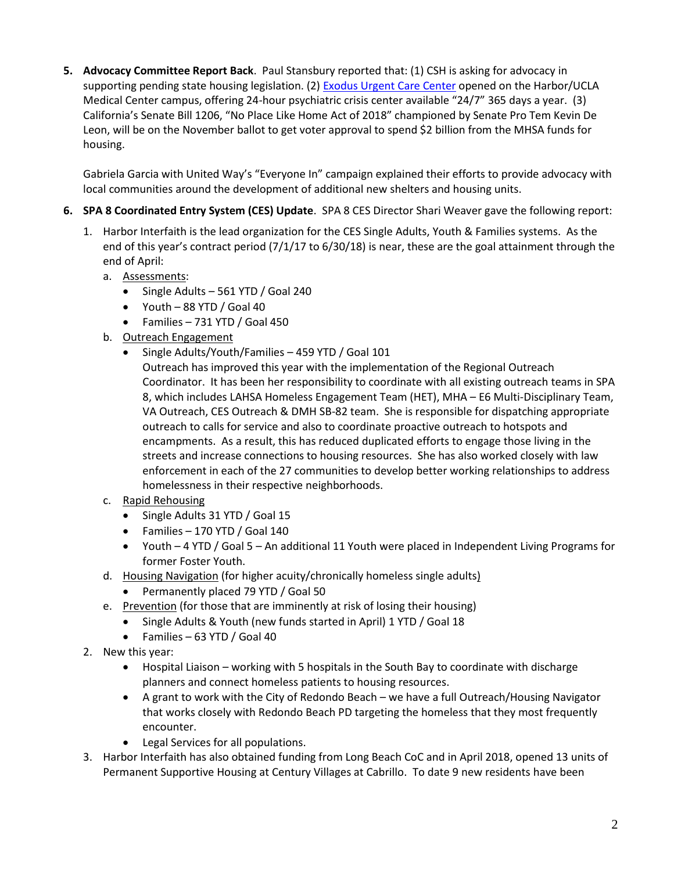**5. Advocacy Committee Report Back**. Paul Stansbury reported that: (1) CSH is asking for advocacy in supporting pending state housing legislation. (2) [Exodus Urgent Care Center](https://www.exodusrecovery.com/harbor-ucla/) opened on the Harbor/UCLA Medical Center campus, offering 24-hour psychiatric crisis center available "24/7" 365 days a year. (3) California's Senate Bill 1206, "No Place Like Home Act of 2018" championed by Senate Pro Tem Kevin De Leon, will be on the November ballot to get voter approval to spend \$2 billion from the MHSA funds for housing.

Gabriela Garcia with United Way's "Everyone In" campaign explained their efforts to provide advocacy with local communities around the development of additional new shelters and housing units.

- **6. SPA 8 Coordinated Entry System (CES) Update**. SPA 8 CES Director Shari Weaver gave the following report:
	- 1. Harbor Interfaith is the lead organization for the CES Single Adults, Youth & Families systems. As the end of this year's contract period (7/1/17 to 6/30/18) is near, these are the goal attainment through the end of April:
		- a. Assessments:
			- Single Adults 561 YTD / Goal 240
			- Youth 88 YTD / Goal 40
			- Families 731 YTD / Goal 450
		- b. Outreach Engagement
			- Single Adults/Youth/Families 459 YTD / Goal 101
				- Outreach has improved this year with the implementation of the Regional Outreach Coordinator. It has been her responsibility to coordinate with all existing outreach teams in SPA 8, which includes LAHSA Homeless Engagement Team (HET), MHA – E6 Multi-Disciplinary Team, VA Outreach, CES Outreach & DMH SB-82 team. She is responsible for dispatching appropriate outreach to calls for service and also to coordinate proactive outreach to hotspots and encampments. As a result, this has reduced duplicated efforts to engage those living in the streets and increase connections to housing resources. She has also worked closely with law enforcement in each of the 27 communities to develop better working relationships to address homelessness in their respective neighborhoods.
		- c. Rapid Rehousing
			- Single Adults 31 YTD / Goal 15
			- Families 170 YTD / Goal 140
			- Youth 4 YTD / Goal 5 An additional 11 Youth were placed in Independent Living Programs for former Foster Youth.
		- d. Housing Navigation (for higher acuity/chronically homeless single adults)
			- Permanently placed 79 YTD / Goal 50
		- e. Prevention (for those that are imminently at risk of losing their housing)
			- Single Adults & Youth (new funds started in April) 1 YTD / Goal 18
			- Families 63 YTD / Goal 40
	- 2. New this year:
		- Hospital Liaison working with 5 hospitals in the South Bay to coordinate with discharge planners and connect homeless patients to housing resources.
		- A grant to work with the City of Redondo Beach we have a full Outreach/Housing Navigator that works closely with Redondo Beach PD targeting the homeless that they most frequently encounter.
		- Legal Services for all populations.
	- 3. Harbor Interfaith has also obtained funding from Long Beach CoC and in April 2018, opened 13 units of Permanent Supportive Housing at Century Villages at Cabrillo. To date 9 new residents have been